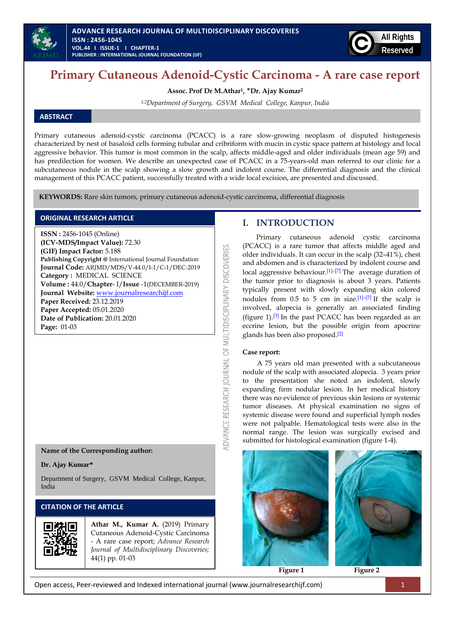



# **Primary Cutaneous Adenoid-Cystic Carcinoma - A rare case report**

**Assoc. Prof Dr M.Athar1,** \***Dr. Ajay Kumar<sup>2</sup>**

*1,2Department of Surgery, GSVM Medical College, Kanpur, India*

## **ABSTRACT**

Primary cutaneous adenoid-cystic carcinoma (PCACC) is a rare slow-growing neoplasm of disputed histogenesis characterized by nest of basaloid cells forming tubular and cribriform with mucin in cystic space pattern at histology and local aggressive behavior. This tumor is most common in the scalp, affects middle-aged and older individuals (mean age 59) and has predilection for women. We describe an unexpected case of PCACC in a 75-years-old man referred to our clinic for a subcutaneous nodule in the scalp showing a slow growth and indolent course. The differential diagnosis and the clinical management of this PCACC patient, successfully treated with a wide local excision, are presented and discussed.

띱

ADVANCE RESEARCH JOURNAL OF MULTIDISCIPLINARY DISCOVERI

**KEYWORDS:** Rare skin tumors, primary cutaneous adenoid-cystic carcinoma, differential diagnosis

### **ORIGINAL RESEARCH ARTICLE**

**ISSN :** 2456-1045 (Online) **(ICV-MDS/Impact Value):** 72.30 **(GIF) Impact Factor:** 5.188 **Publishing Copyright @** International Journal Foundation **Journal Code:** ARJMD/MDS/V-44.0/I-1/C-1/DEC-2019 **Category :** MEDICAL SCIENCE **Volume :** 44.0/**Chapter**- I/**Issue** -1(DECEMBER-2019) **Journal Website:** [www.journalresearchijf.com](http://www.journalresearchijf.com/) **Paper Received:** 23.12.2019 **Paper Accepted:** 05.01.2020 **Date of Publication:** 20.01.2020 **Page:** 01-03

**Name of the Corresponding author:**

#### **Dr. Ajay Kumar\***

Department of Surgery, GSVM Medical College, Kanpur, India

## **CITATION OF THE ARTICLE**



**Athar M., Kumar A.** (2019) Primary Cutaneous Adenoid-Cystic Carcinoma - A rare case report; *Advance Research Journal of Multidisciplinary Discoveries;* 44(1) pp. 01-03

## **I. INTRODUCTION**

Primary cutaneous adenoid cystic carcinoma (PCACC) is a rare tumor that affects middle aged and older individuals. It can occur in the scalp (32–41%), chest and abdomen and is characterized by indolent course and local aggressive behaviour.<sup>[\[1\]](https://www.ncbi.nlm.nih.gov/pmc/articles/PMC3070451/#R1)–[\[7\]](https://www.ncbi.nlm.nih.gov/pmc/articles/PMC3070451/#R7)</sup> The average duration of the tumor prior to diagnosis is about 3 years. Patients typically present with slowly expanding skin colored nodules from  $0.5$  to  $5$  cm in size.<sup>[\[1\]](https://www.ncbi.nlm.nih.gov/pmc/articles/PMC3070451/#R1)–[\[7\]](https://www.ncbi.nlm.nih.gov/pmc/articles/PMC3070451/#R7)</sup> If the scalp is involved, alopecia is generally an associated finding (figure 1).<sup>[\[3\]](https://www.ncbi.nlm.nih.gov/pmc/articles/PMC3070451/#R3)</sup> In the past PCACC has been regarded as an eccrine lesion, but the possible origin from apocrine glands has been also proposed.[\[2\]](https://www.ncbi.nlm.nih.gov/pmc/articles/PMC3070451/#R2)

## **Case report:**

A 75 years old man presented with a subcutaneous nodule of the scalp with associated alopecia. 3 years prior to the presentation she noted an indolent, slowly expanding firm nodular lesion. In her medical history there was no evidence of previous skin lesions or systemic tumor diseases. At physical examination no signs of systemic disease were found and superficial lymph nodes were not palpable. Hematological tests were also in the normal range. The lesion was surgically excised and submitted for histological examination (figure 1-4).



 **Figure 1 Figure 2**

Open access, Peer-reviewed and Indexed international journal (www.journalresearchijf.com) 1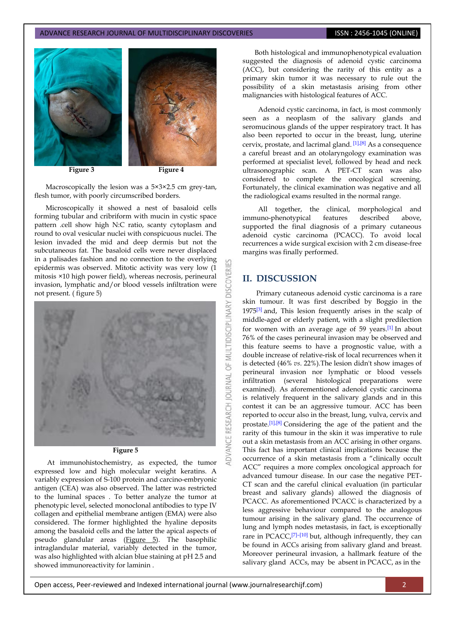#### ADVANCE RESEARCH JOURNAL OF MULTIDISCIPLINARY DISCOVERIES **ISSN : 2456-1045 (ONLINE)**



Macroscopically the lesion was a 5×3×2.5 cm grey-tan, flesh tumor, with poorly circumscribed borders.

Microscopically it showed a nest of basaloid cells forming tubular and cribriform with mucin in cystic space pattern .cell show high N:C ratio, scanty cytoplasm and round to oval vesicular nuclei with conspicuous nuclei. The lesion invaded the mid and deep dermis but not the subcutaneous fat. The basaloid cells were never displaced in a palisades fashion and no connection to the overlying epidermis was observed. Mitotic activity was very low (1 mitosis ×10 high power field), whereas necrosis, perineural invasion, lymphatic and/or blood vessels infiltration were not present. ( figure 5)



#### **Figure 5**

At immunohistochemistry, as expected, the tumor expressed low and high molecular weight keratins. A variably expression of S-100 protein and carcino-embryonic antigen (CEA) was also observed. The latter was restricted to the luminal spaces . To better analyze the tumor at phenotypic level, selected monoclonal antibodies to type IV collagen and epithelial membrane antigen (EMA) were also considered. The former highlighted the hyaline deposits among the basaloid cells and the latter the apical aspects of pseudo glandular areas (Figure 5). The basophilic intraglandular material, variably detected in the tumor, was also highlighted with alcian blue staining at pH 2.5 and showed immunoreactivity for laminin .

 Both histological and immunophenotypical evaluation suggested the diagnosis of adenoid cystic carcinoma (ACC), but considering the rarity of this entity as a primary skin tumor it was necessary to rule out the possibility of a skin metastasis arising from other malignancies with histological features of ACC.

Adenoid cystic carcinoma, in fact, is most commonly seen as a neoplasm of the salivary glands and seromucinous glands of the upper respiratory tract. It has also been reported to occur in the breast, lung, uterine cervix, prostate, and lacrimal gland. <sup>[\[1\],](https://www.ncbi.nlm.nih.gov/pmc/articles/PMC3070451/#R1)[\[8\]](https://www.ncbi.nlm.nih.gov/pmc/articles/PMC3070451/#R8)</sup> As a consequence a careful breast and an otolaryngology examination was performed at specialist level, followed by head and neck ultrasonographic scan. A PET-CT scan was also considered to complete the oncological screening. Fortunately, the clinical examination was negative and all the radiological exams resulted in the normal range.

All together, the clinical, morphological and immuno-phenotypical features described above, supported the final diagnosis of a primary cutaneous adenoid cystic carcinoma (PCACC). To avoid local recurrences a wide surgical excision with 2 cm disease-free margins was finally performed.

## **II. DISCUSSION**

**DISCOVER** 

OF MULTIDISCIPLINARY

**ADVANCE RESEARCH JOURNAL** 

Primary cutaneous adenoid cystic carcinoma is a rare skin tumour. It was first described by Boggio in the  $1975^{[3]}$  $1975^{[3]}$  $1975^{[3]}$  and, This lesion frequently arises in the scalp of middle-aged or elderly patient, with a slight predilection for women with an average age of 59 years.[\[1\]](https://www.ncbi.nlm.nih.gov/pmc/articles/PMC3070451/#R1) In about 76% of the cases perineural invasion may be observed and this feature seems to have a prognostic value, with a double increase of relative-risk of local recurrences when it is detected (46% *vs*. 22%).The lesion didn't show images of perineural invasion nor lymphatic or blood vessels infiltration (several histological preparations were examined). As aforementioned adenoid cystic carcinoma is relatively frequent in the salivary glands and in this contest it can be an aggressive tumour. ACC has been reported to occur also in the breast, lung, vulva, cervix and prostate.<sup>[\[1\],](https://www.ncbi.nlm.nih.gov/pmc/articles/PMC3070451/#R1)[\[8\]](https://www.ncbi.nlm.nih.gov/pmc/articles/PMC3070451/#R8)</sup> Considering the age of the patient and the rarity of this tumour in the skin it was imperative to rule out a skin metastasis from an ACC arising in other organs. This fact has important clinical implications because the occurrence of a skin metastasis from a "clinically occult ACC" requires a more complex oncological approach for advanced tumour disease. In our case the negative PET-CT scan and the careful clinical evaluation (in particular breast and salivary glands) allowed the diagnosis of PCACC. As aforementioned PCACC is characterized by a less aggressive behaviour compared to the analogous tumour arising in the salivary gland. The occurrence of lung and lymph nodes metastasis, in fact, is exceptionally rare in PCACC,<sup>[\[7\]](https://www.ncbi.nlm.nih.gov/pmc/articles/PMC3070451/#R7)-[\[10\]](https://www.ncbi.nlm.nih.gov/pmc/articles/PMC3070451/#R10)</sup> but, although infrequently, they can be found in ACCs arising from salivary gland and breast. Moreover perineural invasion, a hallmark feature of the salivary gland ACCs, may be absent in PCACC, as in the